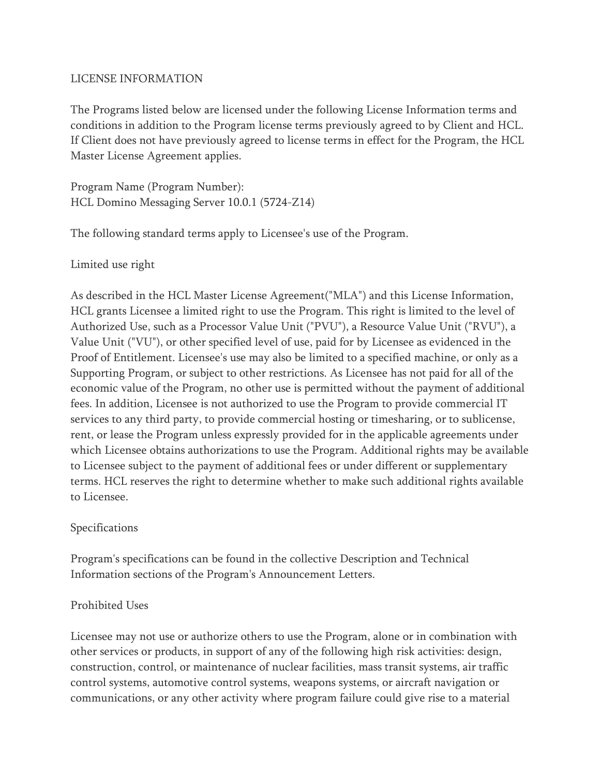### LICENSE INFORMATION

The Programs listed below are licensed under the following License Information terms and conditions in addition to the Program license terms previously agreed to by Client and HCL. If Client does not have previously agreed to license terms in effect for the Program, the HCL Master License Agreement applies.

Program Name (Program Number): HCL Domino Messaging Server 10.0.1 (5724-Z14)

The following standard terms apply to Licensee's use of the Program.

Limited use right

As described in the HCL Master License Agreement("MLA") and this License Information, HCL grants Licensee a limited right to use the Program. This right is limited to the level of Authorized Use, such as a Processor Value Unit ("PVU"), a Resource Value Unit ("RVU"), a Value Unit ("VU"), or other specified level of use, paid for by Licensee as evidenced in the Proof of Entitlement. Licensee's use may also be limited to a specified machine, or only as a Supporting Program, or subject to other restrictions. As Licensee has not paid for all of the economic value of the Program, no other use is permitted without the payment of additional fees. In addition, Licensee is not authorized to use the Program to provide commercial IT services to any third party, to provide commercial hosting or timesharing, or to sublicense, rent, or lease the Program unless expressly provided for in the applicable agreements under which Licensee obtains authorizations to use the Program. Additional rights may be available to Licensee subject to the payment of additional fees or under different or supplementary terms. HCL reserves the right to determine whether to make such additional rights available to Licensee.

### Specifications

Program's specifications can be found in the collective Description and Technical Information sections of the Program's Announcement Letters.

### Prohibited Uses

Licensee may not use or authorize others to use the Program, alone or in combination with other services or products, in support of any of the following high risk activities: design, construction, control, or maintenance of nuclear facilities, mass transit systems, air traffic control systems, automotive control systems, weapons systems, or aircraft navigation or communications, or any other activity where program failure could give rise to a material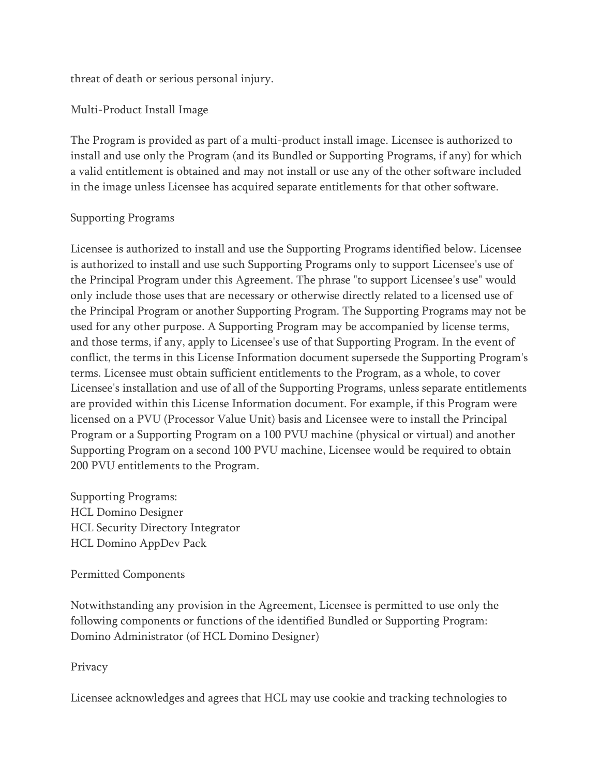threat of death or serious personal injury.

Multi-Product Install Image

The Program is provided as part of a multi-product install image. Licensee is authorized to install and use only the Program (and its Bundled or Supporting Programs, if any) for which a valid entitlement is obtained and may not install or use any of the other software included in the image unless Licensee has acquired separate entitlements for that other software.

### Supporting Programs

Licensee is authorized to install and use the Supporting Programs identified below. Licensee is authorized to install and use such Supporting Programs only to support Licensee's use of the Principal Program under this Agreement. The phrase "to support Licensee's use" would only include those uses that are necessary or otherwise directly related to a licensed use of the Principal Program or another Supporting Program. The Supporting Programs may not be used for any other purpose. A Supporting Program may be accompanied by license terms, and those terms, if any, apply to Licensee's use of that Supporting Program. In the event of conflict, the terms in this License Information document supersede the Supporting Program's terms. Licensee must obtain sufficient entitlements to the Program, as a whole, to cover Licensee's installation and use of all of the Supporting Programs, unless separate entitlements are provided within this License Information document. For example, if this Program were licensed on a PVU (Processor Value Unit) basis and Licensee were to install the Principal Program or a Supporting Program on a 100 PVU machine (physical or virtual) and another Supporting Program on a second 100 PVU machine, Licensee would be required to obtain 200 PVU entitlements to the Program.

Supporting Programs: HCL Domino Designer HCL Security Directory Integrator HCL Domino AppDev Pack

### Permitted Components

Notwithstanding any provision in the Agreement, Licensee is permitted to use only the following components or functions of the identified Bundled or Supporting Program: Domino Administrator (of HCL Domino Designer)

# Privacy

Licensee acknowledges and agrees that HCL may use cookie and tracking technologies to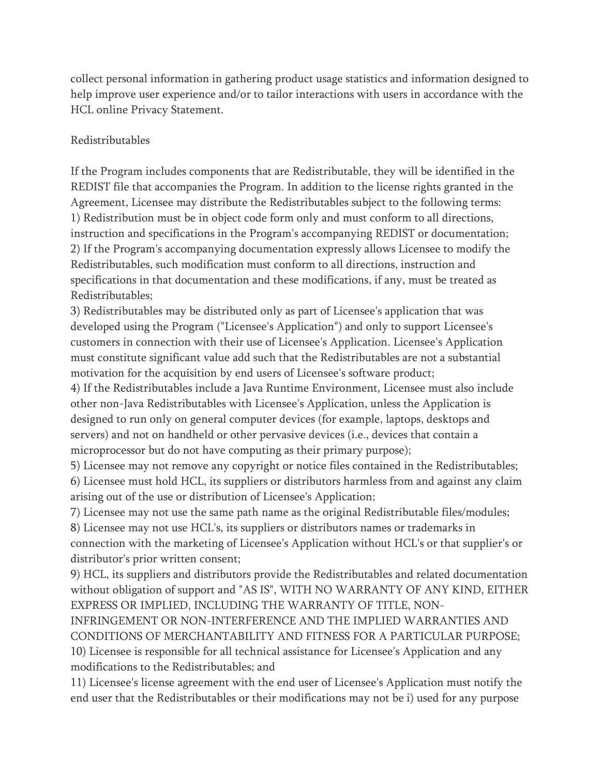collect personal information in gathering product usage statistics and information designed to help improve user experience and/or to tailor interactions with users in accordance with the HCL online Privacy Statement.

### Redistributables

If the Program includes components that are Redistributable, they will be identified in the REDIST file that accompanies the Program. In addition to the license rights granted in the Agreement, Licensee may distribute the Redistributables subject to the following terms: 1) Redistribution must be in object code form only and must conform to all directions, instruction and specifications in the Program's accompanying REDIST or documentation; 2) If the Program's accompanying documentation expressly allows Licensee to modify the Redistributables, such modification must conform to all directions, instruction and specifications in that documentation and these modifications, if any, must be treated as Redistributables;

3) Redistributables may be distributed only as part of Licensee's application that was developed using the Program ("Licensee's Application") and only to support Licensee's customers in connection with their use of Licensee's Application. Licensee's Application must constitute significant value add such that the Redistributables are not a substantial motivation for the acquisition by end users of Licensee's software product;

4) If the Redistributables include a Java Runtime Environment, Licensee must also include other non-Java Redistributables with Licensee's Application, unless the Application is designed to run only on general computer devices (for example, laptops, desktops and servers) and not on handheld or other pervasive devices (i.e., devices that contain a microprocessor but do not have computing as their primary purpose);

5) Licensee may not remove any copyright or notice files contained in the Redistributables; 6) Licensee must hold HCL, its suppliers or distributors harmless from and against any claim arising out of the use or distribution of Licensee's Application;

7) Licensee may not use the same path name as the original Redistributable files/modules;

8) Licensee may not use HCL's, its suppliers or distributors names or trademarks in connection with the marketing of Licensee's Application without HCL's or that supplier's or distributor's prior written consent;

9) HCL, its suppliers and distributors provide the Redistributables and related documentation without obligation of support and "AS IS", WITH NO WARRANTY OF ANY KIND, EITHER EXPRESS OR IMPLIED, INCLUDING THE WARRANTY OF TITLE, NON-

INFRINGEMENT OR NON-INTERFERENCE AND THE IMPLIED WARRANTIES AND CONDITIONS OF MERCHANTABILITY AND FITNESS FOR A PARTICULAR PURPOSE;

10) Licensee is responsible for all technical assistance for Licensee's Application and any modifications to the Redistributables; and

11) Licensee's license agreement with the end user of Licensee's Application must notify the end user that the Redistributables or their modifications may not be i) used for any purpose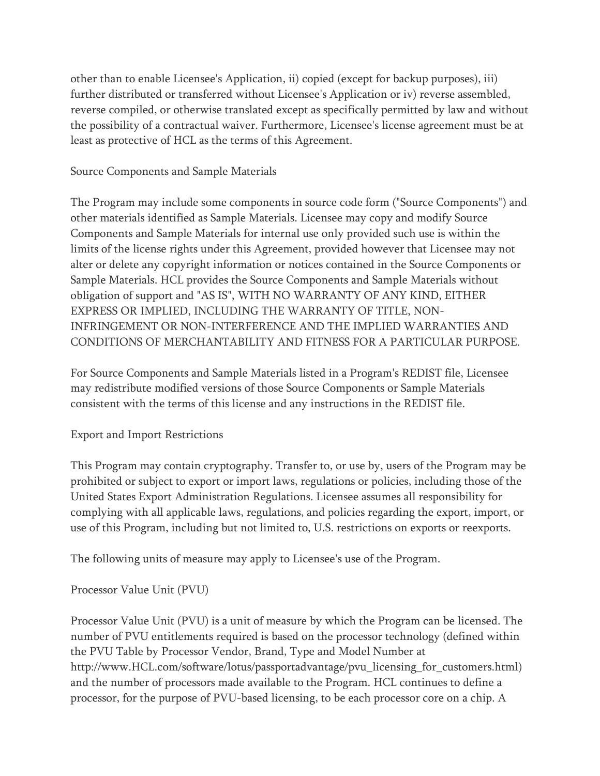other than to enable Licensee's Application, ii) copied (except for backup purposes), iii) further distributed or transferred without Licensee's Application or iv) reverse assembled, reverse compiled, or otherwise translated except as specifically permitted by law and without the possibility of a contractual waiver. Furthermore, Licensee's license agreement must be at least as protective of HCL as the terms of this Agreement.

## Source Components and Sample Materials

The Program may include some components in source code form ("Source Components") and other materials identified as Sample Materials. Licensee may copy and modify Source Components and Sample Materials for internal use only provided such use is within the limits of the license rights under this Agreement, provided however that Licensee may not alter or delete any copyright information or notices contained in the Source Components or Sample Materials. HCL provides the Source Components and Sample Materials without obligation of support and "AS IS", WITH NO WARRANTY OF ANY KIND, EITHER EXPRESS OR IMPLIED, INCLUDING THE WARRANTY OF TITLE, NON-INFRINGEMENT OR NON-INTERFERENCE AND THE IMPLIED WARRANTIES AND CONDITIONS OF MERCHANTABILITY AND FITNESS FOR A PARTICULAR PURPOSE.

For Source Components and Sample Materials listed in a Program's REDIST file, Licensee may redistribute modified versions of those Source Components or Sample Materials consistent with the terms of this license and any instructions in the REDIST file.

### Export and Import Restrictions

This Program may contain cryptography. Transfer to, or use by, users of the Program may be prohibited or subject to export or import laws, regulations or policies, including those of the United States Export Administration Regulations. Licensee assumes all responsibility for complying with all applicable laws, regulations, and policies regarding the export, import, or use of this Program, including but not limited to, U.S. restrictions on exports or reexports.

The following units of measure may apply to Licensee's use of the Program.

# Processor Value Unit (PVU)

Processor Value Unit (PVU) is a unit of measure by which the Program can be licensed. The number of PVU entitlements required is based on the processor technology (defined within the PVU Table by Processor Vendor, Brand, Type and Model Number at http://www.HCL.com/software/lotus/passportadvantage/pvu\_licensing\_for\_customers.html) and the number of processors made available to the Program. HCL continues to define a processor, for the purpose of PVU-based licensing, to be each processor core on a chip. A